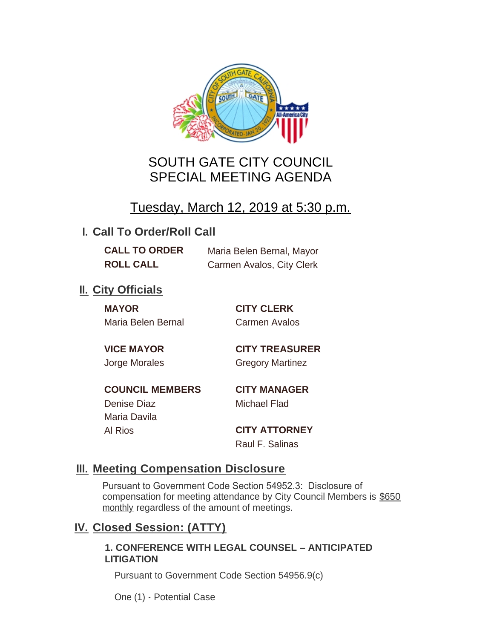

# SOUTH GATE CITY COUNCIL SPECIAL MEETING AGENDA

# Tuesday, March 12, 2019 at 5:30 p.m.

## **I. Call To Order/Roll Call**

**CALL TO ORDER** Maria Belen Bernal, Mayor **ROLL CALL** Carmen Avalos, City Clerk

## **II.** City Officials

**MAYOR CITY CLERK** Maria Belen Bernal Carmen Avalos

**VICE MAYOR CITY TREASURER** Jorge Morales Gregory Martinez

**COUNCIL MEMBERS CITY MANAGER** Denise Diaz Michael Flad

Maria Davila

Al Rios **CITY ATTORNEY** Raul F. Salinas

### **Meeting Compensation Disclosure III.**

Pursuant to Government Code Section 54952.3: Disclosure of compensation for meeting attendance by City Council Members is \$650 monthly regardless of the amount of meetings.

### **Closed Session: (ATTY) IV.**

#### **1. CONFERENCE WITH LEGAL COUNSEL – ANTICIPATED LITIGATION**

Pursuant to Government Code Section 54956.9(c)

One (1) - Potential Case